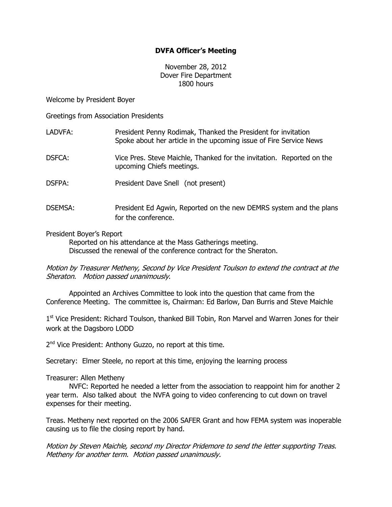## DVFA Officer's Meeting

November 28, 2012 Dover Fire Department 1800 hours

Welcome by President Boyer

Greetings from Association Presidents

| LADVFA:        | President Penny Rodimak, Thanked the President for invitation<br>Spoke about her article in the upcoming issue of Fire Service News |
|----------------|-------------------------------------------------------------------------------------------------------------------------------------|
| DSFCA:         | Vice Pres. Steve Maichle, Thanked for the invitation. Reported on the<br>upcoming Chiefs meetings.                                  |
| <b>DSFPA:</b>  | President Dave Snell (not present)                                                                                                  |
| <b>DSEMSA:</b> | President Ed Agwin, Reported on the new DEMRS system and the plans<br>for the conference.                                           |

President Boyer's Report

Reported on his attendance at the Mass Gatherings meeting. Discussed the renewal of the conference contract for the Sheraton.

Motion by Treasurer Metheny, Second by Vice President Toulson to extend the contract at the Sheraton. Motion passed unanimously.

 Appointed an Archives Committee to look into the question that came from the Conference Meeting. The committee is, Chairman: Ed Barlow, Dan Burris and Steve Maichle

1<sup>st</sup> Vice President: Richard Toulson, thanked Bill Tobin, Ron Marvel and Warren Jones for their work at the Dagsboro LODD

2<sup>nd</sup> Vice President: Anthony Guzzo, no report at this time.

Secretary: Elmer Steele, no report at this time, enjoying the learning process

Treasurer: Allen Metheny

 NVFC: Reported he needed a letter from the association to reappoint him for another 2 year term. Also talked about the NVFA going to video conferencing to cut down on travel expenses for their meeting.

Treas. Metheny next reported on the 2006 SAFER Grant and how FEMA system was inoperable causing us to file the closing report by hand.

Motion by Steven Maichle, second my Director Pridemore to send the letter supporting Treas. Metheny for another term. Motion passed unanimously.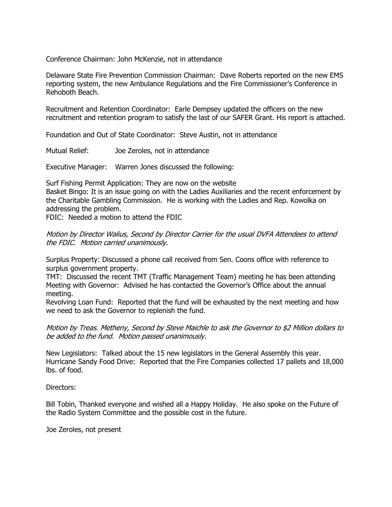Conference Chairman: John McKenzie, not in attendance

Delaware State Fire Prevention Commission Chairman: Dave Roberts reported on the new EMS reporting system, the new Ambulance Regulations and the Fire Commissioner's Conference in Rehoboth Beach.

Recruitment and Retention Coordinator: Earle Dempsey updated the officers on the new recruitment and retention program to satisfy the last of our SAFER Grant. His report is attached.

Foundation and Out of State Coordinator: Steve Austin, not in attendance

Mutual Relief: Joe Zeroles, not in attendance

Executive Manager: Warren Jones discussed the following:

Surf Fishing Permit Application: They are now on the website Basket Bingo: It is an issue going on with the Ladies Auxiliaries and the recent enforcement by the Charitable Gambling Commission. He is working with the Ladies and Rep. Kowolka on addressing the problem.

FDIC: Needed a motion to attend the FDIC

Motion by Director Walius, Second by Director Carrier for the usual DVFA Attendees to attend the FDIC. Motion carried unanimously.

Surplus Property: Discussed a phone call received from Sen. Coons office with reference to surplus government property.

TMT: Discussed the recent TMT (Traffic Management Team) meeting he has been attending Meeting with Governor: Advised he has contacted the Governor's Office about the annual meeting.

Revolving Loan Fund: Reported that the fund will be exhausted by the next meeting and how we need to ask the Governor to replenish the fund.

Motion by Treas. Metheny, Second by Steve Maichle to ask the Governor to \$2 Million dollars to be added to the fund. Motion passed unanimously.

New Legislators: Talked about the 15 new legislators in the General Assembly this year. Hurricane Sandy Food Drive: Reported that the Fire Companies collected 17 pallets and 18,000 lbs. of food.

Directors:

Bill Tobin, Thanked everyone and wished all a Happy Holiday. He also spoke on the Future of the Radio System Committee and the possible cost in the future.

Joe Zeroles, not present